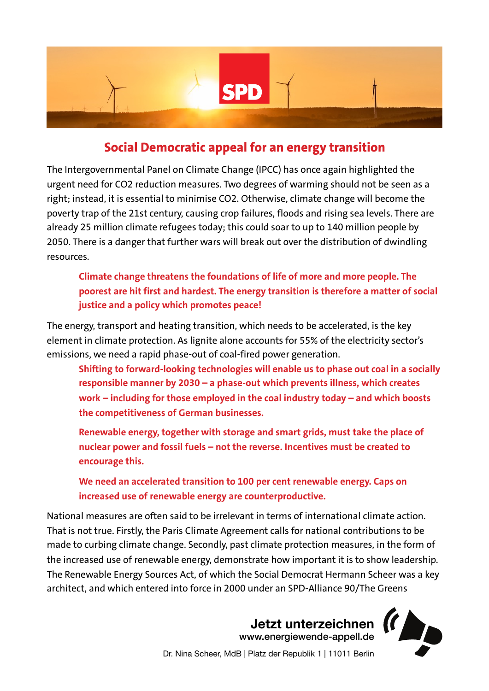

## **Social Democratic appeal for an energy transition**

The Intergovernmental Panel on Climate Change (IPCC) has once again highlighted the urgent need for CO2 reduction measures. Two degrees of warming should not be seen as a right; instead, it is essential to minimise CO2. Otherwise, climate change will become the poverty trap of the 21st century, causing crop failures, floods and rising sea levels. There are already 25 million climate refugees today; this could soar to up to 140 million people by 2050. There is a danger that further wars will break out over the distribution of dwindling resources.

**Climate change threatens the foundations of life of more and more people. The poorest are hit first and hardest. The energy transition is therefore a matter of social justice and a policy which promotes peace!** 

The energy, transport and heating transition, which needs to be accelerated, is the key element in climate protection. As lignite alone accounts for 55% of the electricity sector's emissions, we need a rapid phase-out of coal-fired power generation.

**Shifting to forward-looking technologies will enable us to phase out coal in a socially responsible manner by 2030 – a phase-out which prevents illness, which creates work – including for those employed in the coal industry today – and which boosts the competitiveness of German businesses.** 

**Renewable energy, together with storage and smart grids, must take the place of nuclear power and fossil fuels – not the reverse. Incentives must be created to encourage this.** 

**We need an accelerated transition to 100 per cent renewable energy. Caps on increased use of renewable energy are counterproductive.** 

National measures are often said to be irrelevant in terms of international climate action. That is not true. Firstly, the Paris Climate Agreement calls for national contributions to be made to curbing climate change. Secondly, past climate protection measures, in the form of the increased use of renewable energy, demonstrate how important it is to show leadership. The Renewable Energy Sources Act, of which the Social Democrat Hermann Scheer was a key architect, and which entered into force in 2000 under an SPD-Alliance 90/The Greens

> **Jetzt unterzeichnen**  [www.energiewende-appell.de](http://www.energiewende-appell.de)

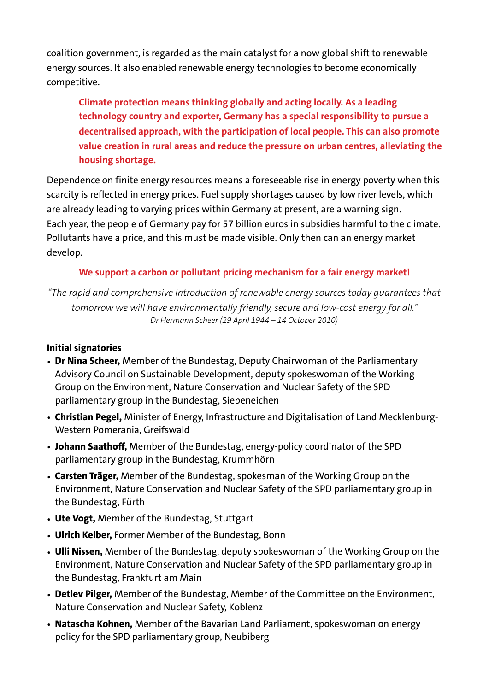coalition government, is regarded as the main catalyst for a now global shift to renewable energy sources. It also enabled renewable energy technologies to become economically competitive.

**Climate protection means thinking globally and acting locally. As a leading technology country and exporter, Germany has a special responsibility to pursue a decentralised approach, with the participation of local people. This can also promote value creation in rural areas and reduce the pressure on urban centres, alleviating the housing shortage.** 

Dependence on finite energy resources means a foreseeable rise in energy poverty when this scarcity is reflected in energy prices. Fuel supply shortages caused by low river levels, which are already leading to varying prices within Germany at present, are a warning sign. Each year, the people of Germany pay for 57 billion euros in subsidies harmful to the climate. Pollutants have a price, and this must be made visible. Only then can an energy market develop.

## **We support a carbon or pollutant pricing mechanism for a fair energy market!**

*"The rapid and comprehensive introduction of renewable energy sources today guarantees that tomorrow we will have environmentally friendly, secure and low-cost energy for all." Dr Hermann Scheer (29 April 1944 – 14 October 2010)* 

## **Initial signatories**

- **Dr Nina Scheer,** Member of the Bundestag, Deputy Chairwoman of the Parliamentary Advisory Council on Sustainable Development, deputy spokeswoman of the Working Group on the Environment, Nature Conservation and Nuclear Safety of the SPD parliamentary group in the Bundestag, Siebeneichen
- **Christian Pegel,** Minister of Energy, Infrastructure and Digitalisation of Land Mecklenburg-Western Pomerania, Greifswald
- **Johann Saathoff,** Member of the Bundestag, energy-policy coordinator of the SPD parliamentary group in the Bundestag, Krummhörn
- **Carsten Träger,** Member of the Bundestag, spokesman of the Working Group on the Environment, Nature Conservation and Nuclear Safety of the SPD parliamentary group in the Bundestag, Fürth
- **Ute Vogt,** Member of the Bundestag, Stuttgart
- **Ulrich Kelber,** Former Member of the Bundestag, Bonn
- **Ulli Nissen,** Member of the Bundestag, deputy spokeswoman of the Working Group on the Environment, Nature Conservation and Nuclear Safety of the SPD parliamentary group in the Bundestag, Frankfurt am Main
- **Detlev Pilger,** Member of the Bundestag, Member of the Committee on the Environment, Nature Conservation and Nuclear Safety, Koblenz
- **Natascha Kohnen,** Member of the Bavarian Land Parliament, spokeswoman on energy policy for the SPD parliamentary group, Neubiberg